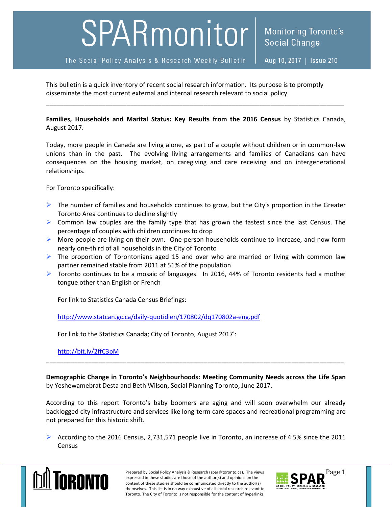## SPARmonitor

The Social Policy Analysis & Research Weekly Bulletin

This bulletin is a quick inventory of recent social research information. Its purpose is to promptly disseminate the most current external and internal research relevant to social policy.

**Families, Households and Marital Status: Key Results from the 2016 Census** by Statistics Canada, August 2017.

\_\_\_\_\_\_\_\_\_\_\_\_\_\_\_\_\_\_\_\_\_\_\_\_\_\_\_\_\_\_\_\_\_\_\_\_\_\_\_\_\_\_\_\_\_\_\_\_\_\_\_\_\_\_\_\_\_\_\_\_\_\_\_\_\_\_\_\_\_\_\_\_\_\_\_\_\_\_\_\_\_\_\_\_\_

Today, more people in Canada are living alone, as part of a couple without children or in common-law unions than in the past. The evolving living arrangements and families of Canadians can have consequences on the housing market, on caregiving and care receiving and on intergenerational relationships.

For Toronto specifically:

- $\triangleright$  The number of families and households continues to grow, but the City's proportion in the Greater Toronto Area continues to decline slightly
- $\triangleright$  Common law couples are the family type that has grown the fastest since the last Census. The percentage of couples with children continues to drop
- $\triangleright$  More people are living on their own. One-person households continue to increase, and now form nearly one-third of all households in the City of Toronto
- $\triangleright$  The proportion of Torontonians aged 15 and over who are married or living with common law partner remained stable from 2011 at 51% of the population
- $\triangleright$  Toronto continues to be a mosaic of languages. In 2016, 44% of Toronto residents had a mother tongue other than English or French

For link to Statistics Canada Census Briefings:

<http://www.statcan.gc.ca/daily-quotidien/170802/dq170802a-eng.pdf>

For link to the Statistics Canada; City of Toronto, August 2017':

<http://bit.ly/2ffC3pM>

**Demographic Change in Toronto's Neighbourhoods: Meeting Community Needs across the Life Span** by Yeshewamebrat Desta and Beth Wilson, Social Planning Toronto, June 2017.

**\_\_\_\_\_\_\_\_\_\_\_\_\_\_\_\_\_\_\_\_\_\_\_\_\_\_\_\_\_\_\_\_\_\_\_\_\_\_\_\_\_\_\_\_\_\_\_\_\_\_\_\_\_\_\_\_\_\_\_\_\_\_\_\_\_\_\_\_\_\_\_\_\_\_\_\_\_\_\_\_\_\_\_\_\_**

According to this report Toronto's baby boomers are aging and will soon overwhelm our already backlogged city infrastructure and services like long-term care spaces and recreational programming are not prepared for this historic shift.

 According to the 2016 Census, 2,731,571 people live in Toronto, an increase of 4.5% since the 2011 Census



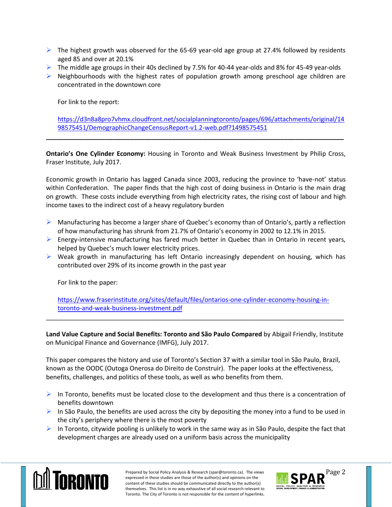- $\triangleright$  The highest growth was observed for the 65-69 year-old age group at 27.4% followed by residents aged 85 and over at 20.1%
- $\triangleright$  The middle age groups in their 40s declined by 7.5% for 40-44 year-olds and 8% for 45-49 year-olds
- $\triangleright$  Neighbourhoods with the highest rates of population growth among preschool age children are concentrated in the downtown core

For link to the report:

[https://d3n8a8pro7vhmx.cloudfront.net/socialplanningtoronto/pages/696/attachments/original/14](https://d3n8a8pro7vhmx.cloudfront.net/socialplanningtoronto/pages/696/attachments/original/1498575451/DemographicChangeCensusReport-v1.2-web.pdf?1498575451) [98575451/DemographicChangeCensusReport-v1.2-web.pdf?1498575451](https://d3n8a8pro7vhmx.cloudfront.net/socialplanningtoronto/pages/696/attachments/original/1498575451/DemographicChangeCensusReport-v1.2-web.pdf?1498575451)

**Ontario's One Cylinder Economy:** Housing in Toronto and Weak Business Investment by Philip Cross, Fraser Institute, July 2017.

**\_\_\_\_\_\_\_\_\_\_\_\_\_\_\_\_\_\_\_\_\_\_\_\_\_\_\_\_\_\_\_\_\_\_\_\_\_\_\_\_\_\_\_\_\_\_\_\_\_\_\_\_\_\_\_\_\_\_\_\_\_\_\_\_\_\_\_\_\_\_\_\_\_\_\_\_\_\_\_\_\_\_\_\_\_**

Economic growth in Ontario has lagged Canada since 2003, reducing the province to 'have-not' status within Confederation. The paper finds that the high cost of doing business in Ontario is the main drag on growth. These costs include everything from high electricity rates, the rising cost of labour and high income taxes to the indirect cost of a heavy regulatory burden

- $\triangleright$  Manufacturing has become a larger share of Quebec's economy than of Ontario's, partly a reflection of how manufacturing has shrunk from 21.7% of Ontario's economy in 2002 to 12.1% in 2015.
- $\triangleright$  Energy-intensive manufacturing has fared much better in Quebec than in Ontario in recent years, helped by Quebec's much lower electricity prices.
- $\triangleright$  Weak growth in manufacturing has left Ontario increasingly dependent on housing, which has contributed over 29% of its income growth in the past year

For link to the paper:

[https://www.fraserinstitute.org/sites/default/files/ontarios-one-cylinder-economy-housing-in](https://www.fraserinstitute.org/sites/default/files/ontarios-one-cylinder-economy-housing-in-toronto-and-weak-business-investment.pdf)[toronto-and-weak-business-investment.pdf](https://www.fraserinstitute.org/sites/default/files/ontarios-one-cylinder-economy-housing-in-toronto-and-weak-business-investment.pdf)

\_\_\_\_\_\_\_\_\_\_\_\_\_\_\_\_\_\_\_\_\_\_\_\_\_\_\_\_\_\_\_\_\_\_\_\_\_\_\_\_\_\_\_\_\_\_\_\_\_\_\_\_\_\_\_\_\_\_\_\_\_\_\_\_\_\_\_\_\_\_\_\_\_\_\_\_\_\_\_\_\_\_\_\_\_

**Land Value Capture and Social Benefits: Toronto and São Paulo Compared** by Abigail Friendly, Institute on Municipal Finance and Governance (IMFG), July 2017.

This paper compares the history and use of Toronto's Section 37 with a similar tool in São Paulo, Brazil, known as the OODC (Outoga Onerosa do Direito de Construir). The paper looks at the effectiveness, benefits, challenges, and politics of these tools, as well as who benefits from them.

- $\triangleright$  In Toronto, benefits must be located close to the development and thus there is a concentration of benefits downtown
- In São Paulo, the benefits are used across the city by depositing the money into a fund to be used in the city's periphery where there is the most poverty
- In Toronto, citywide pooling is unlikely to work in the same way as in São Paulo, despite the fact that development charges are already used on a uniform basis across the municipality